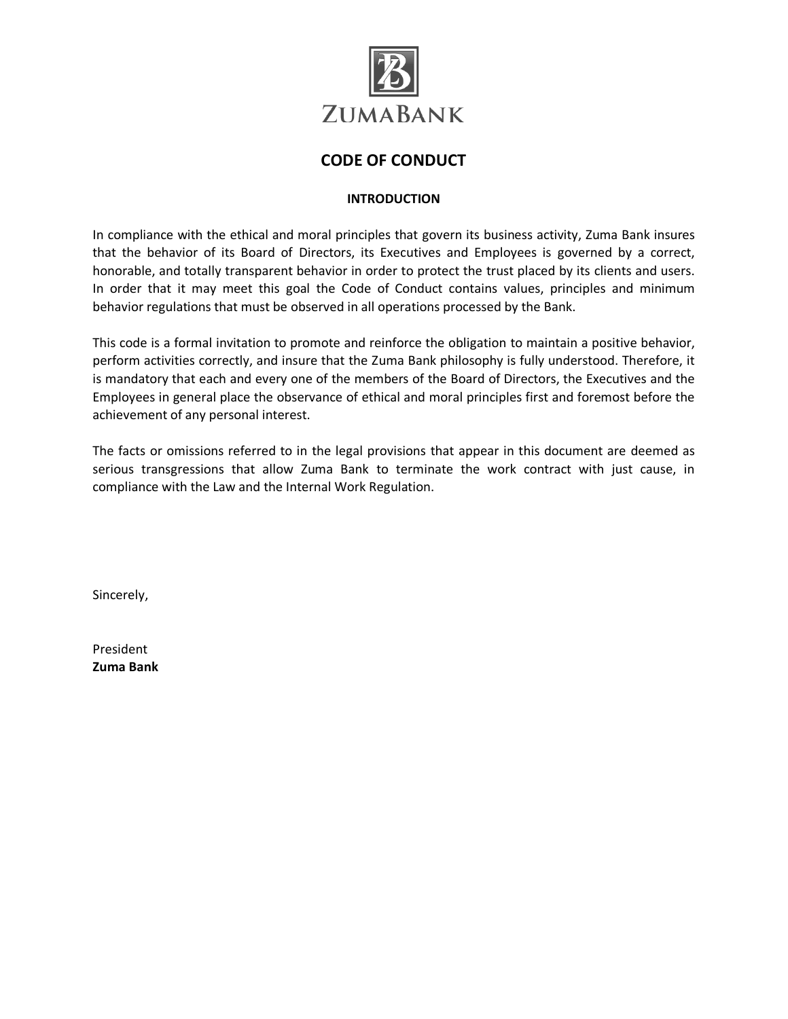

### **CODE OF CONDUCT**

### **INTRODUCTION**

In compliance with the ethical and moral principles that govern its business activity, Zuma Bank insures that the behavior of its Board of Directors, its Executives and Employees is governed by a correct, honorable, and totally transparent behavior in order to protect the trust placed by its clients and users. In order that it may meet this goal the Code of Conduct contains values, principles and minimum behavior regulations that must be observed in all operations processed by the Bank.

This code is a formal invitation to promote and reinforce the obligation to maintain a positive behavior, perform activities correctly, and insure that the Zuma Bank philosophy is fully understood. Therefore, it is mandatory that each and every one of the members of the Board of Directors, the Executives and the Employees in general place the observance of ethical and moral principles first and foremost before the achievement of any personal interest.

The facts or omissions referred to in the legal provisions that appear in this document are deemed as serious transgressions that allow Zuma Bank to terminate the work contract with just cause, in compliance with the Law and the Internal Work Regulation.

Sincerely,

President **Zuma Bank**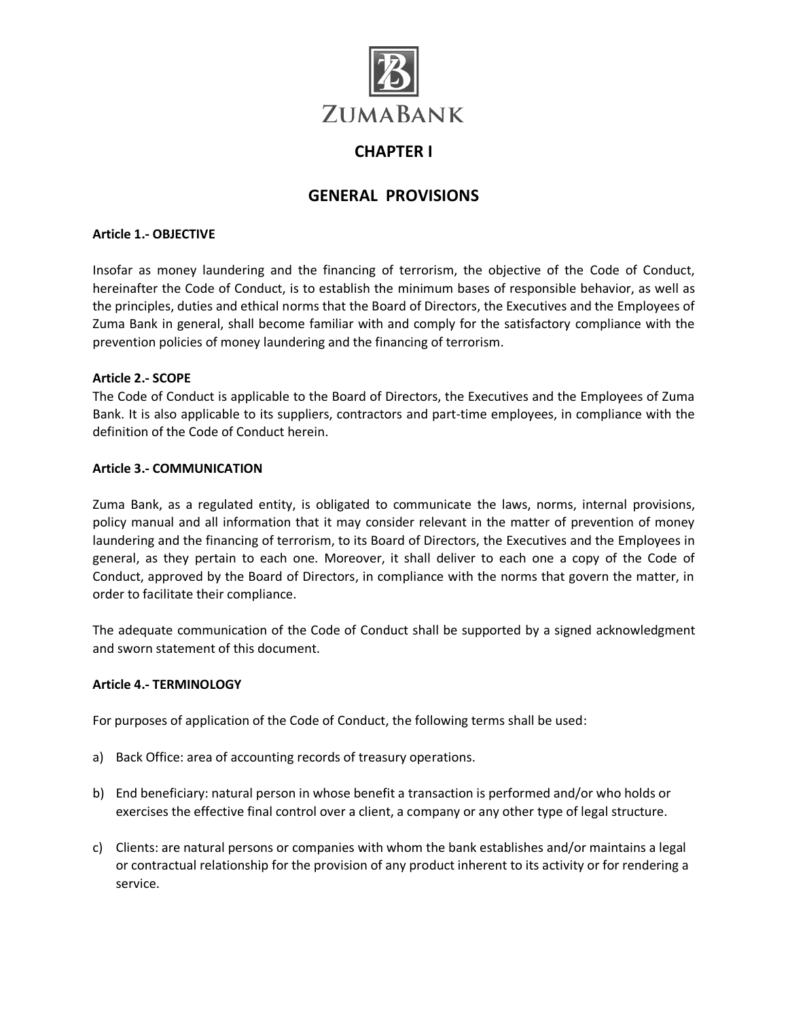

## **CHAPTER I**

## **GENERAL PROVISIONS**

#### **Article 1.- OBJECTIVE**

Insofar as money laundering and the financing of terrorism, the objective of the Code of Conduct, hereinafter the Code of Conduct, is to establish the minimum bases of responsible behavior, as well as the principles, duties and ethical norms that the Board of Directors, the Executives and the Employees of Zuma Bank in general, shall become familiar with and comply for the satisfactory compliance with the prevention policies of money laundering and the financing of terrorism.

#### **Article 2.- SCOPE**

The Code of Conduct is applicable to the Board of Directors, the Executives and the Employees of Zuma Bank. It is also applicable to its suppliers, contractors and part-time employees, in compliance with the definition of the Code of Conduct herein.

#### **Article 3.- COMMUNICATION**

Zuma Bank, as a regulated entity, is obligated to communicate the laws, norms, internal provisions, policy manual and all information that it may consider relevant in the matter of prevention of money laundering and the financing of terrorism, to its Board of Directors, the Executives and the Employees in general, as they pertain to each one. Moreover, it shall deliver to each one a copy of the Code of Conduct, approved by the Board of Directors, in compliance with the norms that govern the matter, in order to facilitate their compliance.

The adequate communication of the Code of Conduct shall be supported by a signed acknowledgment and sworn statement of this document.

#### **Article 4.- TERMINOLOGY**

For purposes of application of the Code of Conduct, the following terms shall be used:

- a) Back Office: area of accounting records of treasury operations.
- b) End beneficiary: natural person in whose benefit a transaction is performed and/or who holds or exercises the effective final control over a client, a company or any other type of legal structure.
- c) Clients: are natural persons or companies with whom the bank establishes and/or maintains a legal or contractual relationship for the provision of any product inherent to its activity or for rendering a service.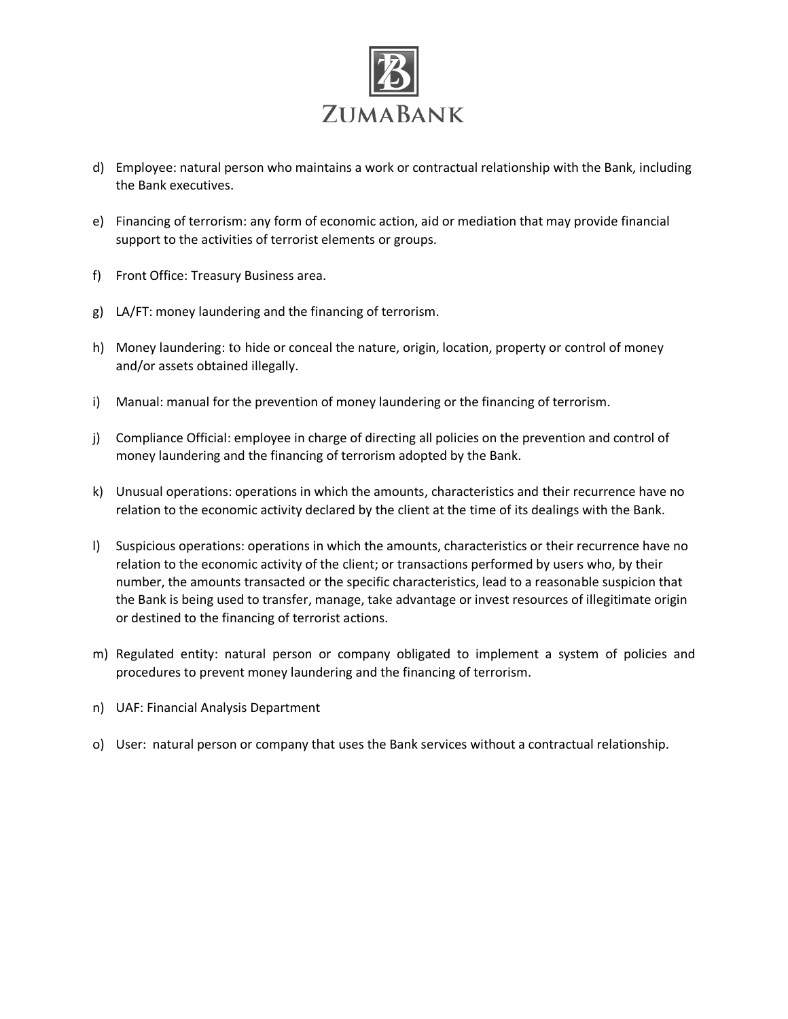

- d) Employee: natural person who maintains a work or contractual relationship with the Bank, including the Bank executives.
- e) Financing of terrorism: any form of economic action, aid or mediation that may provide financial support to the activities of terrorist elements or groups.
- f) Front Office: Treasury Business area.
- g) LA/FT: money laundering and the financing of terrorism.
- h) Money laundering: to hide or conceal the nature, origin, location, property or control of money and/or assets obtained illegally.
- i) Manual: manual for the prevention of money laundering or the financing of terrorism.
- j) Compliance Official: employee in charge of directing all policies on the prevention and control of money laundering and the financing of terrorism adopted by the Bank.
- k) Unusual operations: operations in which the amounts, characteristics and their recurrence have no relation to the economic activity declared by the client at the time of its dealings with the Bank.
- l) Suspicious operations: operations in which the amounts, characteristics or their recurrence have no relation to the economic activity of the client; or transactions performed by users who, by their number, the amounts transacted or the specific characteristics, lead to a reasonable suspicion that the Bank is being used to transfer, manage, take advantage or invest resources of illegitimate origin or destined to the financing of terrorist actions.
- m) Regulated entity: natural person or company obligated to implement a system of policies and procedures to prevent money laundering and the financing of terrorism.
- n) UAF: Financial Analysis Department
- o) User: natural person or company that uses the Bank services without a contractual relationship.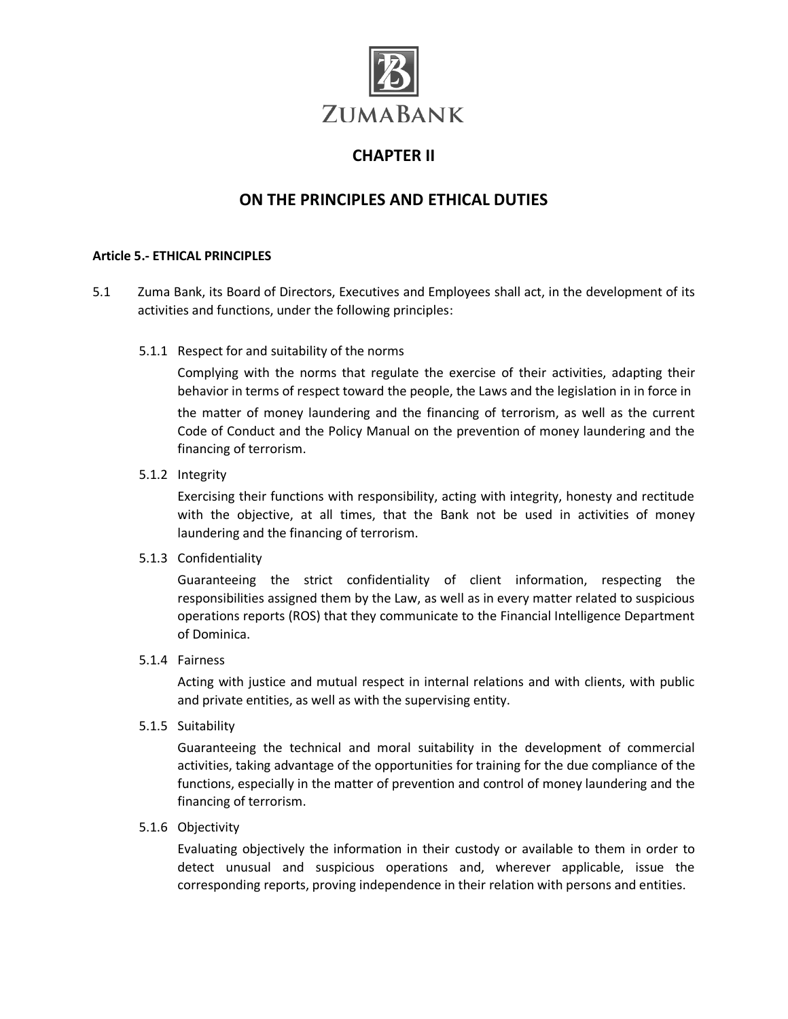

## **CHAPTER II**

# **ON THE PRINCIPLES AND ETHICAL DUTIES**

### **Article 5.- ETHICAL PRINCIPLES**

- 5.1 Zuma Bank, its Board of Directors, Executives and Employees shall act, in the development of its activities and functions, under the following principles:
	- 5.1.1 Respect for and suitability of the norms

Complying with the norms that regulate the exercise of their activities, adapting their behavior in terms of respect toward the people, the Laws and the legislation in in force in the matter of money laundering and the financing of terrorism, as well as the current Code of Conduct and the Policy Manual on the prevention of money laundering and the financing of terrorism.

5.1.2 Integrity

Exercising their functions with responsibility, acting with integrity, honesty and rectitude with the objective, at all times, that the Bank not be used in activities of money laundering and the financing of terrorism.

#### 5.1.3 Confidentiality

Guaranteeing the strict confidentiality of client information, respecting the responsibilities assigned them by the Law, as well as in every matter related to suspicious operations reports (ROS) that they communicate to the Financial Intelligence Department of Dominica.

#### 5.1.4 Fairness

Acting with justice and mutual respect in internal relations and with clients, with public and private entities, as well as with the supervising entity.

5.1.5 Suitability

Guaranteeing the technical and moral suitability in the development of commercial activities, taking advantage of the opportunities for training for the due compliance of the functions, especially in the matter of prevention and control of money laundering and the financing of terrorism.

#### 5.1.6 Objectivity

Evaluating objectively the information in their custody or available to them in order to detect unusual and suspicious operations and, wherever applicable, issue the corresponding reports, proving independence in their relation with persons and entities.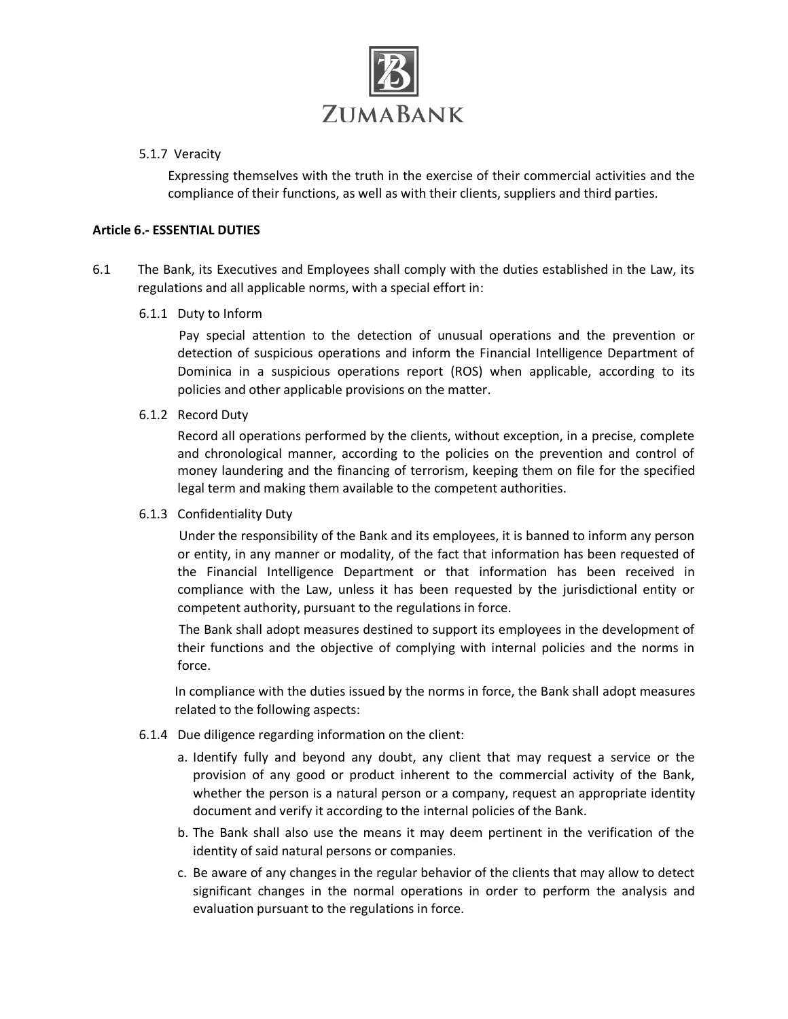

### 5.1.7 Veracity

Expressing themselves with the truth in the exercise of their commercial activities and the compliance of their functions, as well as with their clients, suppliers and third parties.

### **Article 6.- ESSENTIAL DUTIES**

6.1 The Bank, its Executives and Employees shall comply with the duties established in the Law, its regulations and all applicable norms, with a special effort in:

### 6.1.1 Duty to Inform

Pay special attention to the detection of unusual operations and the prevention or detection of suspicious operations and inform the Financial Intelligence Department of Dominica in a suspicious operations report (ROS) when applicable, according to its policies and other applicable provisions on the matter.

6.1.2 Record Duty

Record all operations performed by the clients, without exception, in a precise, complete and chronological manner, according to the policies on the prevention and control of money laundering and the financing of terrorism, keeping them on file for the specified legal term and making them available to the competent authorities.

### 6.1.3 Confidentiality Duty

Under the responsibility of the Bank and its employees, it is banned to inform any person or entity, in any manner or modality, of the fact that information has been requested of the Financial Intelligence Department or that information has been received in compliance with the Law, unless it has been requested by the jurisdictional entity or competent authority, pursuant to the regulations in force.

The Bank shall adopt measures destined to support its employees in the development of their functions and the objective of complying with internal policies and the norms in force.

In compliance with the duties issued by the norms in force, the Bank shall adopt measures related to the following aspects:

- 6.1.4 Due diligence regarding information on the client:
	- a. Identify fully and beyond any doubt, any client that may request a service or the provision of any good or product inherent to the commercial activity of the Bank, whether the person is a natural person or a company, request an appropriate identity document and verify it according to the internal policies of the Bank.
	- b. The Bank shall also use the means it may deem pertinent in the verification of the identity of said natural persons or companies.
	- c. Be aware of any changes in the regular behavior of the clients that may allow to detect significant changes in the normal operations in order to perform the analysis and evaluation pursuant to the regulations in force.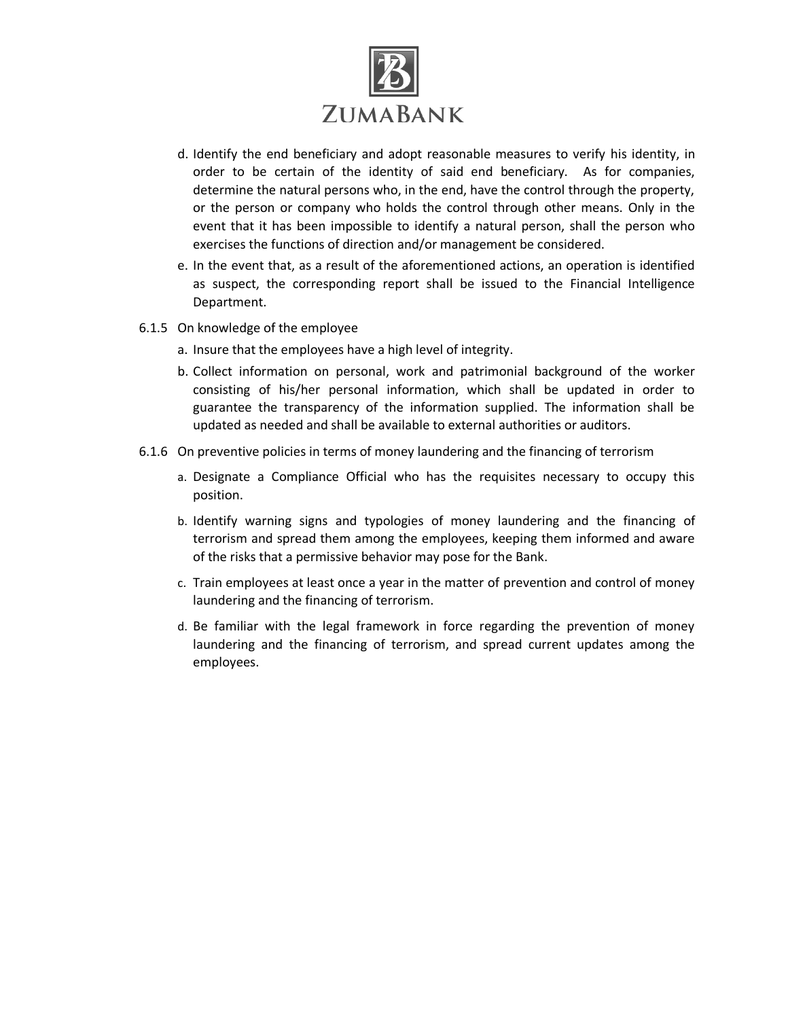

- d. Identify the end beneficiary and adopt reasonable measures to verify his identity, in order to be certain of the identity of said end beneficiary. As for companies, determine the natural persons who, in the end, have the control through the property, or the person or company who holds the control through other means. Only in the event that it has been impossible to identify a natural person, shall the person who exercises the functions of direction and/or management be considered.
- e. In the event that, as a result of the aforementioned actions, an operation is identified as suspect, the corresponding report shall be issued to the Financial Intelligence Department.
- 6.1.5 On knowledge of the employee
	- a. Insure that the employees have a high level of integrity.
	- b. Collect information on personal, work and patrimonial background of the worker consisting of his/her personal information, which shall be updated in order to guarantee the transparency of the information supplied. The information shall be updated as needed and shall be available to external authorities or auditors.
- 6.1.6 On preventive policies in terms of money laundering and the financing of terrorism
	- a. Designate a Compliance Official who has the requisites necessary to occupy this position.
	- b. Identify warning signs and typologies of money laundering and the financing of terrorism and spread them among the employees, keeping them informed and aware of the risks that a permissive behavior may pose for the Bank.
	- c. Train employees at least once a year in the matter of prevention and control of money laundering and the financing of terrorism.
	- d. Be familiar with the legal framework in force regarding the prevention of money laundering and the financing of terrorism, and spread current updates among the employees.